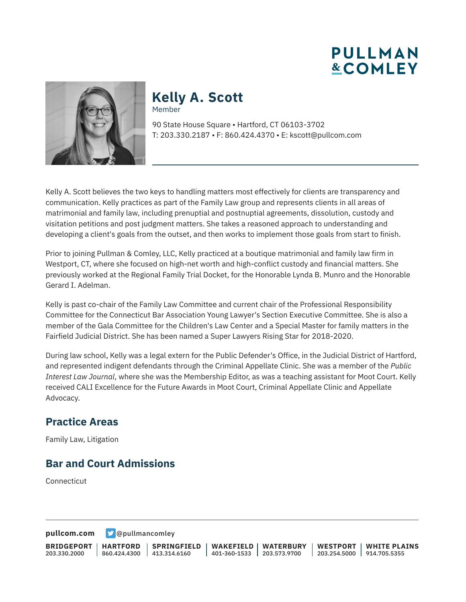# **PULLMAN &COMLEY**



#### **Kelly A. Scott** Member

90 State House Square • Hartford, CT 06103-3702 T: 203.330.2187 • F: 860.424.4370 • E: kscott@pullcom.com

Kelly A. Scott believes the two keys to handling matters most effectively for clients are transparency and communication. Kelly practices as part of the Family Law group and represents clients in all areas of matrimonial and family law, including prenuptial and postnuptial agreements, dissolution, custody and visitation petitions and post judgment matters. She takes a reasoned approach to understanding and developing a client's goals from the outset, and then works to implement those goals from start to finish.

Prior to joining Pullman & Comley, LLC, Kelly practiced at a boutique matrimonial and family law firm in Westport, CT, where she focused on high-net worth and high-conflict custody and financial matters. She previously worked at the Regional Family Trial Docket, for the Honorable Lynda B. Munro and the Honorable Gerard I. Adelman.

Kelly is past co-chair of the Family Law Committee and current chair of the Professional Responsibility Committee for the Connecticut Bar Association Young Lawyer's Section Executive Committee. She is also a member of the Gala Committee for the Children's Law Center and a Special Master for family matters in the Fairfield Judicial District. She has been named a Super Lawyers Rising Star for 2018-2020.

During law school, Kelly was a legal extern for the Public Defender's Office, in the Judicial District of Hartford, and represented indigent defendants through the Criminal Appellate Clinic. She was a member of the *Public Interest Law Journal*, where she was the Membership Editor, as was a teaching assistant for Moot Court. Kelly received CALI Excellence for the Future Awards in Moot Court, Criminal Appellate Clinic and Appellate Advocacy.

# **Practice Areas**

Family Law, Litigation

# **Bar and Court Admissions**

Connecticut

**[pullcom.com](https://www.pullcom.com) g** [@pullmancomley](https://twitter.com/PullmanComley)

**BRIDGEPORT** 203.330.2000 **HARTFORD** 860.424.4300 413.314.6160 **SPRINGFIELD WAKEFIELD** 401-360-1533 203.573.9700 **WATERBURY WESTPORT** 203.254.5000 914.705.5355 **WHITE PLAINS**